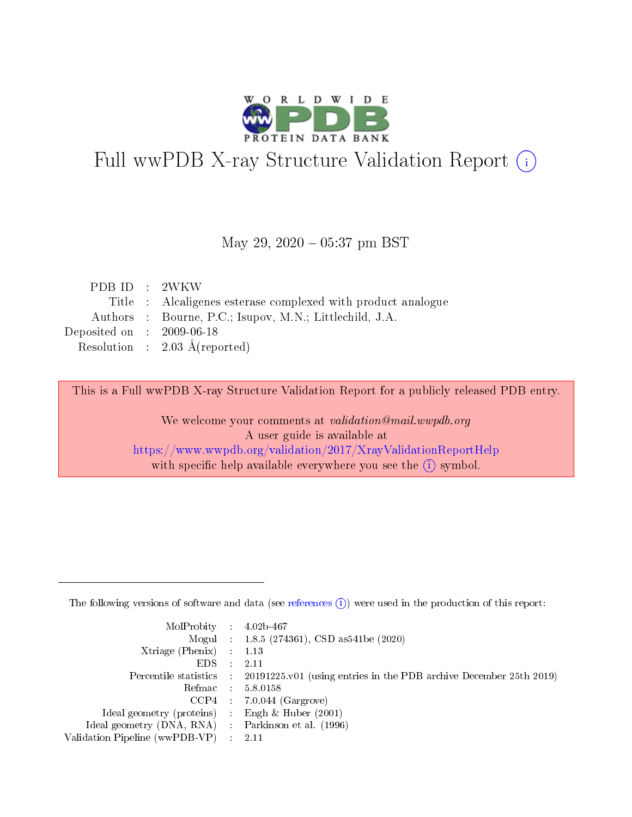

# Full wwPDB X-ray Structure Validation Report (i)

#### May 29,  $2020 - 05:37$  pm BST

| PDBID : 2WKW                         |                                                              |
|--------------------------------------|--------------------------------------------------------------|
|                                      | Title : Alcaligenes esterase complexed with product analogue |
|                                      | Authors : Bourne, P.C.; Isupov, M.N.; Littlechild, J.A.      |
| Deposited on $\therefore$ 2009-06-18 |                                                              |
|                                      | Resolution : $2.03 \text{ Å}$ (reported)                     |

This is a Full wwPDB X-ray Structure Validation Report for a publicly released PDB entry.

We welcome your comments at validation@mail.wwpdb.org A user guide is available at <https://www.wwpdb.org/validation/2017/XrayValidationReportHelp> with specific help available everywhere you see the  $(i)$  symbol.

The following versions of software and data (see [references](https://www.wwpdb.org/validation/2017/XrayValidationReportHelp#references)  $(1)$ ) were used in the production of this report:

| $MolProbability$ : 4.02b-467                        |                                                                                            |
|-----------------------------------------------------|--------------------------------------------------------------------------------------------|
|                                                     | Mogul : $1.8.5$ (274361), CSD as 541be (2020)                                              |
| Xtriage (Phenix) $: 1.13$                           |                                                                                            |
| EDS                                                 | -2.11                                                                                      |
|                                                     | Percentile statistics : 20191225.v01 (using entries in the PDB archive December 25th 2019) |
| Refmac 58.0158                                      |                                                                                            |
|                                                     | $CCP4$ 7.0.044 (Gargrove)                                                                  |
| Ideal geometry (proteins) : Engh $\&$ Huber (2001)  |                                                                                            |
| Ideal geometry (DNA, RNA) : Parkinson et al. (1996) |                                                                                            |
| Validation Pipeline (wwPDB-VP) : 2.11               |                                                                                            |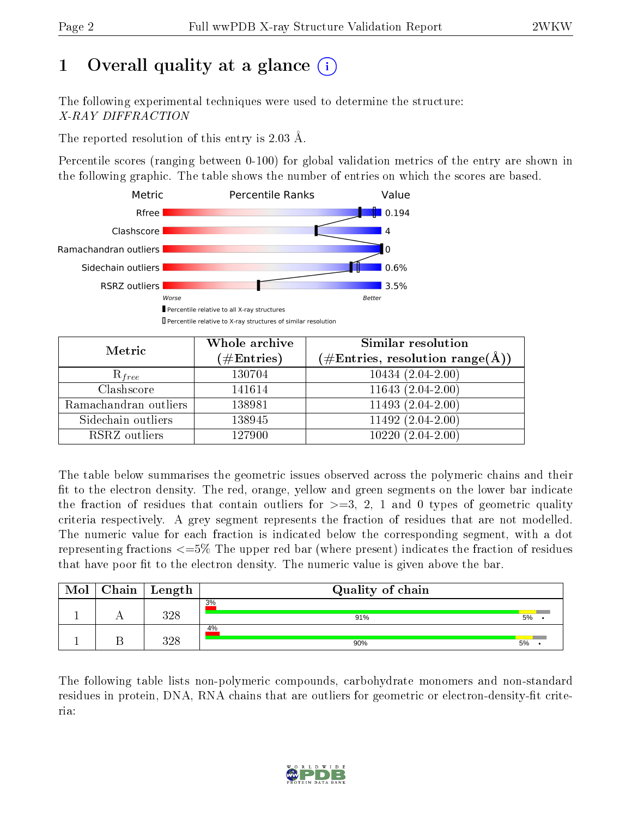# 1 [O](https://www.wwpdb.org/validation/2017/XrayValidationReportHelp#overall_quality)verall quality at a glance (i)

The following experimental techniques were used to determine the structure: X-RAY DIFFRACTION

The reported resolution of this entry is 2.03 Å.

Percentile scores (ranging between 0-100) for global validation metrics of the entry are shown in the following graphic. The table shows the number of entries on which the scores are based.



| Metric                | Whole archive<br>$(\#\mathrm{Entries})$ | Similar resolution<br>$(\#\text{Entries},\,\text{resolution}\,\,\text{range}(\textup{\AA}))$ |
|-----------------------|-----------------------------------------|----------------------------------------------------------------------------------------------|
| $R_{free}$            | 130704                                  | $10434(2.04-2.00)$                                                                           |
| Clashscore            | 141614                                  | $11643(2.04-2.00)$                                                                           |
| Ramachandran outliers | 138981                                  | $11493(2.04-2.00)$                                                                           |
| Sidechain outliers    | 138945                                  | $11492(2.04-2.00)$                                                                           |
| RSRZ outliers         | 127900                                  | $10220(2.04-2.00)$                                                                           |

The table below summarises the geometric issues observed across the polymeric chains and their fit to the electron density. The red, orange, yellow and green segments on the lower bar indicate the fraction of residues that contain outliers for  $>=3, 2, 1$  and 0 types of geometric quality criteria respectively. A grey segment represents the fraction of residues that are not modelled. The numeric value for each fraction is indicated below the corresponding segment, with a dot representing fractions <=5% The upper red bar (where present) indicates the fraction of residues that have poor fit to the electron density. The numeric value is given above the bar.

| Mol | Chain <sup>1</sup> | $^+$ Length   | Quality of chain |    |  |
|-----|--------------------|---------------|------------------|----|--|
|     |                    | ววจ<br>ن کے ز | 3%<br>91%        | 5% |  |
|     |                    | ววง<br>) 40   | 4%<br>90%        | 5% |  |

The following table lists non-polymeric compounds, carbohydrate monomers and non-standard residues in protein, DNA, RNA chains that are outliers for geometric or electron-density-fit criteria:

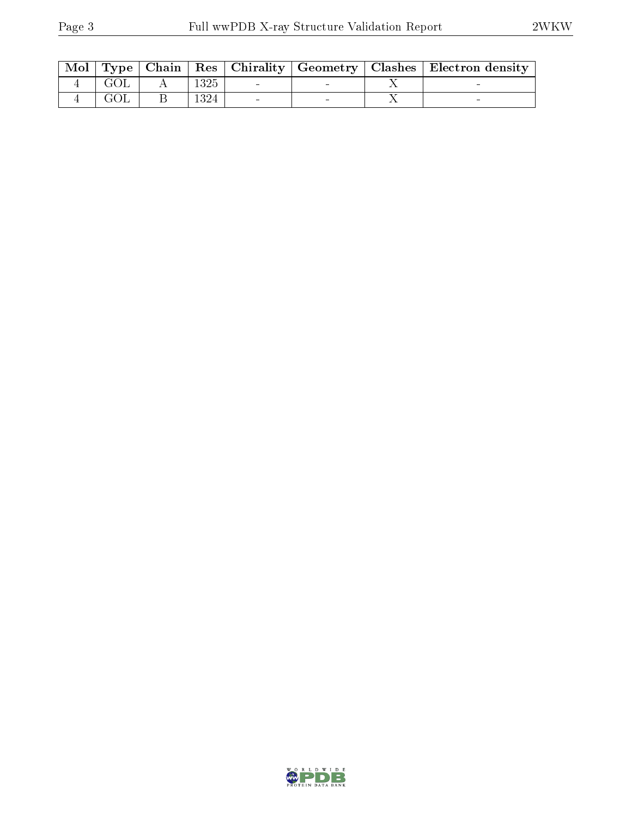| Mol |  |      |  | Type   Chain   Res   Chirality   Geometry   Clashes   Electron density |
|-----|--|------|--|------------------------------------------------------------------------|
|     |  | 1325 |  |                                                                        |
|     |  | 1324 |  |                                                                        |

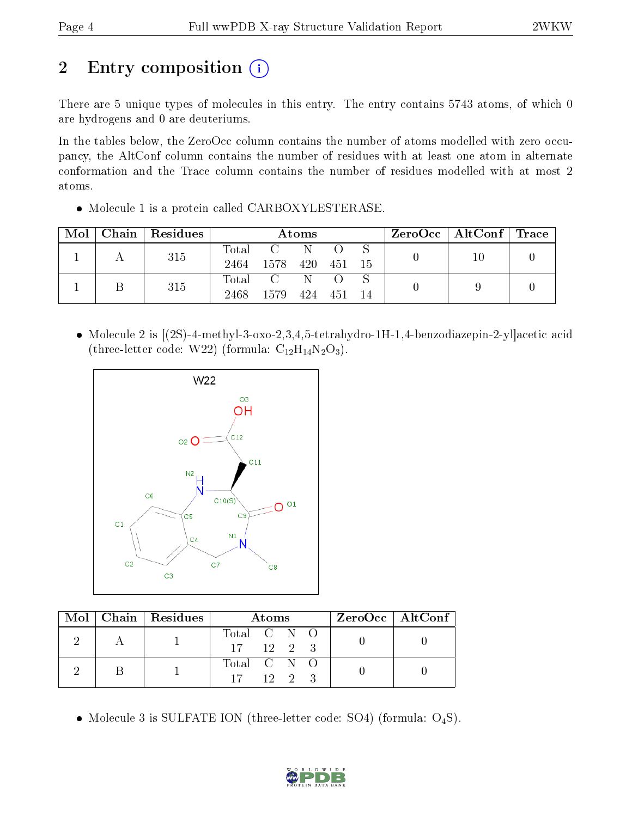# 2 Entry composition (i)

There are 5 unique types of molecules in this entry. The entry contains 5743 atoms, of which 0 are hydrogens and 0 are deuteriums.

In the tables below, the ZeroOcc column contains the number of atoms modelled with zero occupancy, the AltConf column contains the number of residues with at least one atom in alternate conformation and the Trace column contains the number of residues modelled with at most 2 atoms.

• Molecule 1 is a protein called CARBOXYLESTERASE.

| Mol | Chain   Residues | Atoms         |                 |            |            | $\rm ZeroOcc \mid AltConf \mid Trace$ |    |  |
|-----|------------------|---------------|-----------------|------------|------------|---------------------------------------|----|--|
|     | 315              | Total<br>2464 | C N<br>1578 420 |            | - 451 - 15 |                                       | 10 |  |
|     | 315              | Total<br>2468 | 1579            | - N<br>424 | 451        | 14                                    |    |  |

 Molecule 2 is [(2S)-4-methyl-3-oxo-2,3,4,5-tetrahydro-1H-1,4-benzodiazepin-2-yl]acetic acid (three-letter code: W22) (formula:  $C_{12}H_{14}N_2O_3$ ).



|  | Mol   Chain   Residues | <b>Atoms</b>                     | $ZeroOcc \mid AltConf \mid$ |
|--|------------------------|----------------------------------|-----------------------------|
|  |                        | Total C N O<br>$17 \t12 \t2 \t3$ |                             |
|  |                        | Total C N O<br>$12 \t 2 \t 3$    |                             |

• Molecule 3 is SULFATE ION (three-letter code: SO4) (formula:  $O_4S$ ).

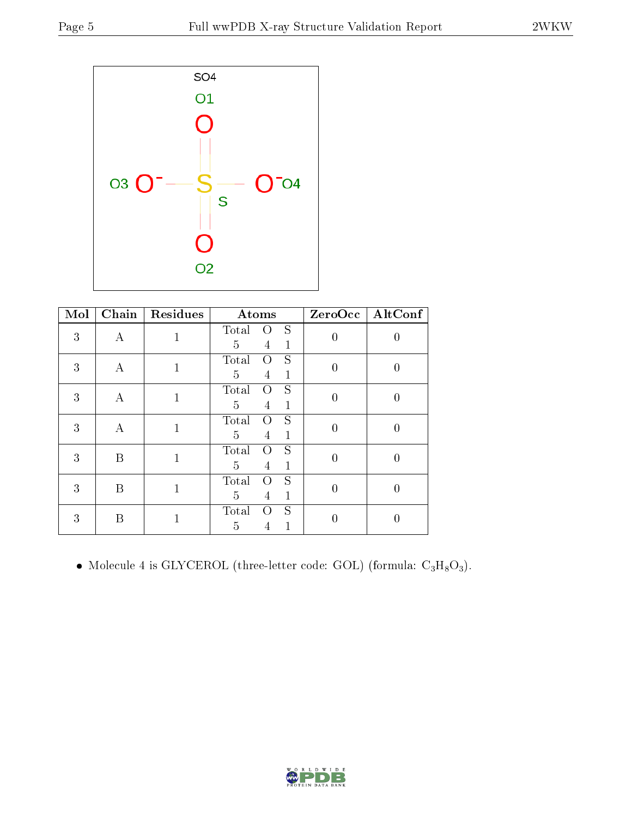

| Mol | $\overline{\text{Chain}}$ | Residues     | Atoms                                                                      | ZeroOcc        | AltConf          |
|-----|---------------------------|--------------|----------------------------------------------------------------------------|----------------|------------------|
| 3   | A                         | $\mathbf{1}$ | S<br>Total<br>$\cup$<br>5<br>$\mathbf{1}$<br>4                             | $\overline{0}$ | $\left( \right)$ |
| 3   | А                         | $\mathbf{1}$ | S<br>Total<br>O<br>$\overline{5}$<br>$\mathbf 1$<br>4                      | $\overline{0}$ | $\left( \right)$ |
| 3   | А                         | $\mathbf{1}$ | S<br>Total<br>$\Omega$<br>$\overline{5}$<br>$\mathbf{1}$<br>$\overline{4}$ | $\overline{0}$ | $\left( \right)$ |
| 3   | А                         | $\mathbf{1}$ | S<br>Total<br>Ω<br>$\overline{5}$<br>$\mathbf 1$<br>4                      | $\overline{0}$ | $\left( \right)$ |
| 3   | B                         | $\mathbf 1$  | S<br>Total<br>O<br>$\overline{5}$<br>$\mathbf 1$<br>4                      | $\overline{0}$ | 0                |
| 3   | B                         | $\mathbf{1}$ | S<br>Total<br>O<br>5<br>$\mathbf{1}$<br>4                                  | $\overline{0}$ | $\left( \right)$ |
| 3   | B                         | 1            | S<br>Total<br>$\Omega$<br>5<br>1<br>4                                      | 0              |                  |

 $\bullet$  Molecule 4 is GLYCEROL (three-letter code: GOL) (formula:  $\rm{C_3H_8O_3}).$ 

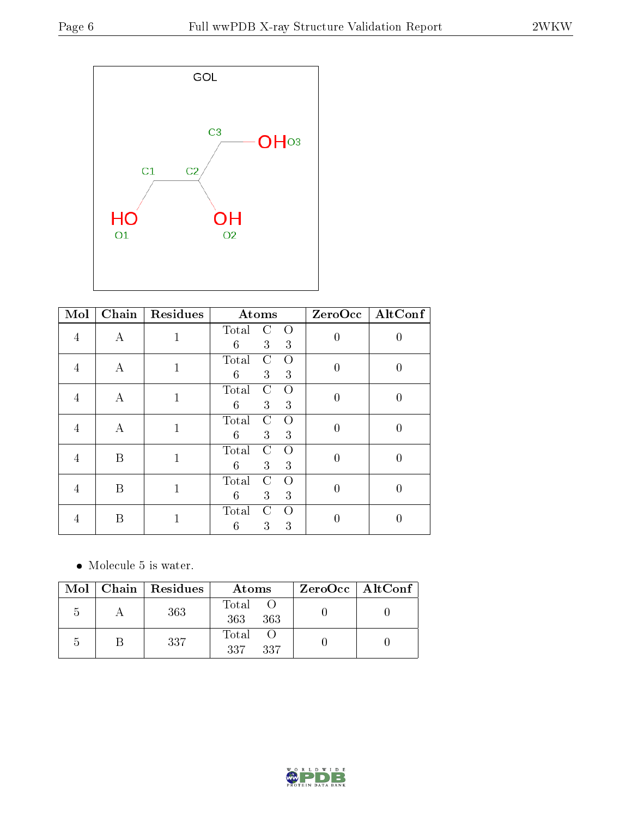

| Mol            | $\overline{\text{Chain}}$ | Residues     | Atoms                                                     |                | $ZeroOcc$ $\fbox{AltConf}$ |
|----------------|---------------------------|--------------|-----------------------------------------------------------|----------------|----------------------------|
| 4              | A                         | $\mathbf{1}$ | Total<br>$\rm C$<br>$\Omega$<br>$6\phantom{.}6$<br>3<br>3 | $\overline{0}$ | $\left( \right)$           |
| 4              | А                         | $\mathbf{1}$ | Total<br>C<br>Ω<br>$6\phantom{.}6$<br>3<br>3              | $\theta$       | 0                          |
| 4              | А                         | $\mathbf{1}$ | Total<br>C<br>$\Omega$<br>$6\phantom{.}6$<br>3<br>3       | $\overline{0}$ | 0                          |
| $\overline{4}$ | А                         | $\mathbf{1}$ | Total<br>C<br>$\Omega$<br>$6\phantom{.}6$<br>3<br>3       | $\overline{0}$ | 0                          |
| 4              | B                         | $\mathbf 1$  | Total<br>$\rm C$<br>$\Omega$<br>6<br>3<br>3               | $\overline{0}$ | $\left( \right)$           |
| 4              | B                         | 1            | Total<br>C<br>$\Omega$<br>$6\phantom{.}6$<br>3<br>3       | $\theta$       | $\left( \right)$           |
|                | B                         | 1            | Total<br>C<br>Ω<br>6<br>3<br>3                            | 0              |                            |

• Molecule 5 is water.

|                | $Mol$   Chain   Residues | Atoms               | $ZeroOcc \mid AltConf \mid$ |
|----------------|--------------------------|---------------------|-----------------------------|
| $\overline{a}$ | 363                      | Total<br>363<br>363 |                             |
| h              | 337                      | Total<br>337<br>337 |                             |

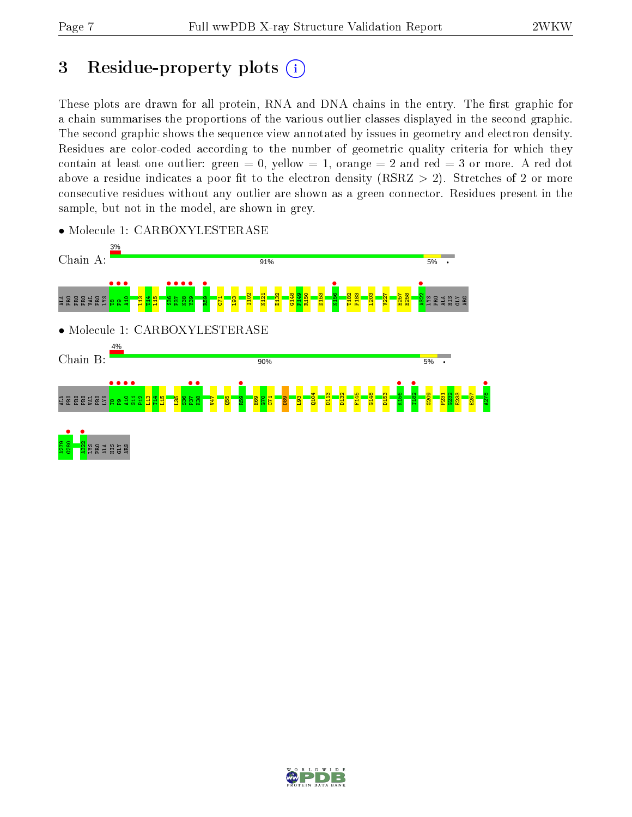# 3 Residue-property plots  $(i)$

These plots are drawn for all protein, RNA and DNA chains in the entry. The first graphic for a chain summarises the proportions of the various outlier classes displayed in the second graphic. The second graphic shows the sequence view annotated by issues in geometry and electron density. Residues are color-coded according to the number of geometric quality criteria for which they contain at least one outlier: green  $= 0$ , yellow  $= 1$ , orange  $= 2$  and red  $= 3$  or more. A red dot above a residue indicates a poor fit to the electron density (RSRZ  $> 2$ ). Stretches of 2 or more consecutive residues without any outlier are shown as a green connector. Residues present in the sample, but not in the model, are shown in grey.



• Molecule 1: CARBOXYLESTERASE

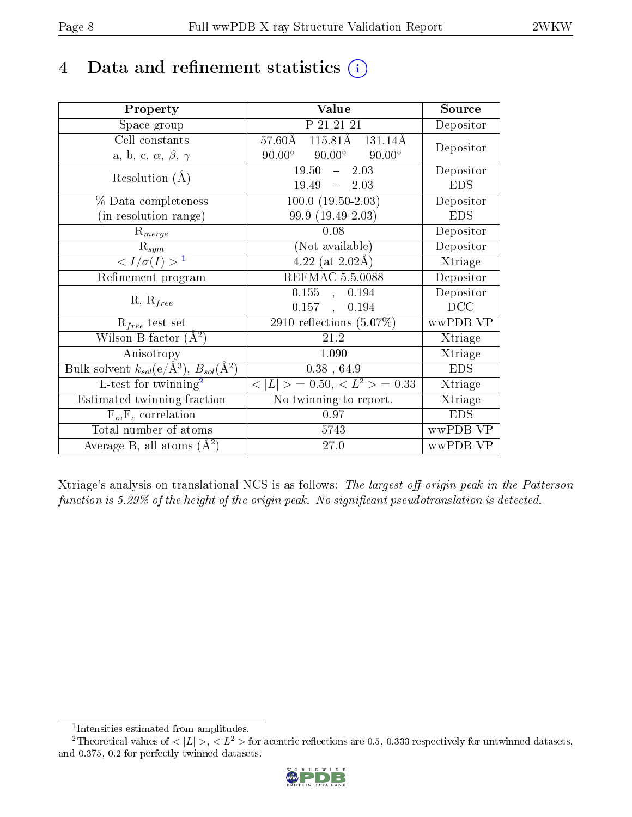## 4 Data and refinement statistics  $(i)$

| Property                                                             | Value                                                   | Source                       |
|----------------------------------------------------------------------|---------------------------------------------------------|------------------------------|
| Space group                                                          | P 21 21 21                                              | Depositor                    |
| Cell constants                                                       | $57.60\text{\AA}$ $115.81\text{\AA}$ $131.14\text{\AA}$ | Depositor                    |
| a, b, c, $\alpha$ , $\beta$ , $\gamma$                               | $90.00^{\circ}$<br>$90.00^\circ$<br>$90.00^\circ$       |                              |
| Resolution $(A)$                                                     | 19.50<br>2.03<br>$\frac{1}{2}$                          | Depositor                    |
|                                                                      | 19.49<br>$-2.03$                                        | <b>EDS</b>                   |
| % Data completeness                                                  | $100.0 (19.50-2.03)$                                    | Depositor                    |
| (in resolution range)                                                | 99.9 (19.49-2.03)                                       | <b>EDS</b>                   |
| $R_{merge}$                                                          | 0.08                                                    | Depositor                    |
| $R_{sym}$                                                            | (Not available)                                         | Depositor                    |
| $\langle I/\sigma(I) \rangle^{-1}$                                   | $4.22$ (at 2.02Å)                                       | $\overline{\text{X}}$ triage |
| Refinement program                                                   | <b>REFMAC 5.5.0088</b>                                  | Depositor                    |
|                                                                      | $0.155$ , $0.194$                                       | Depositor                    |
| $R, R_{free}$                                                        | $0.157$ ,<br>0.194                                      | DCC                          |
| $R_{free}$ test set                                                  | 2910 reflections $(5.07\%)$                             | wwPDB-VP                     |
| Wilson B-factor $(A^2)$                                              | 21.2                                                    | Xtriage                      |
| Anisotropy                                                           | 1.090                                                   | Xtriage                      |
| Bulk solvent $k_{sol}(e/\mathring{A}^3)$ , $B_{sol}(\mathring{A}^2)$ | 0.38, 64.9                                              | <b>EDS</b>                   |
| $L$ -test for twinning <sup>2</sup>                                  | $\overline{< L >$ = 0.50, $\overline{< L^2>}$ = 0.33    | Xtriage                      |
| Estimated twinning fraction                                          | No twinning to report.                                  | Xtriage                      |
| $F_o, F_c$ correlation                                               | 0.97                                                    | <b>EDS</b>                   |
| Total number of atoms                                                | 5743                                                    | wwPDB-VP                     |
| Average B, all atoms $(A^2)$                                         | 27.0                                                    | wwPDB-VP                     |

Xtriage's analysis on translational NCS is as follows: The largest off-origin peak in the Patterson function is  $5.29\%$  of the height of the origin peak. No significant pseudotranslation is detected.

<sup>&</sup>lt;sup>2</sup>Theoretical values of  $\langle |L| \rangle$ ,  $\langle L^2 \rangle$  for acentric reflections are 0.5, 0.333 respectively for untwinned datasets, and 0.375, 0.2 for perfectly twinned datasets.



<span id="page-7-1"></span><span id="page-7-0"></span><sup>1</sup> Intensities estimated from amplitudes.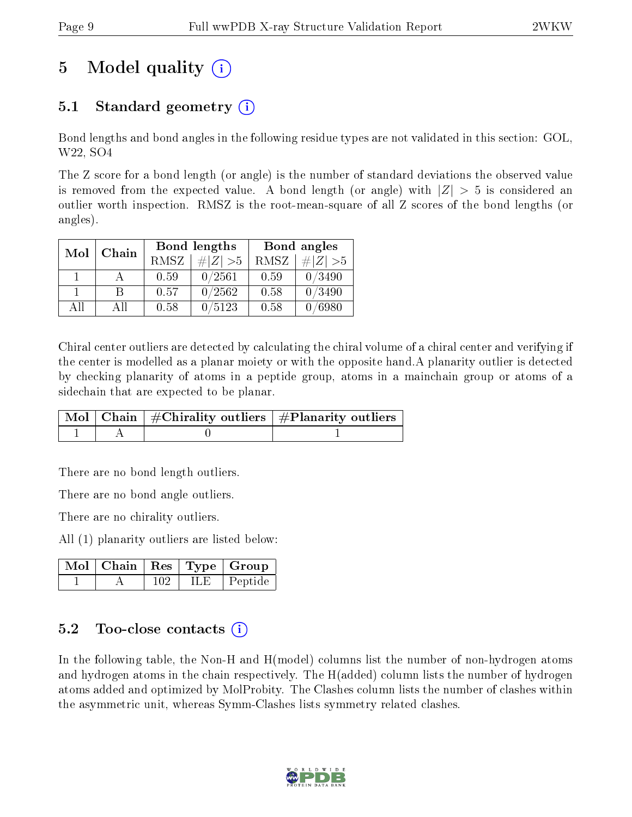# 5 Model quality  $(i)$

## 5.1 Standard geometry (i)

Bond lengths and bond angles in the following residue types are not validated in this section: GOL, W22, SO4

The Z score for a bond length (or angle) is the number of standard deviations the observed value is removed from the expected value. A bond length (or angle) with  $|Z| > 5$  is considered an outlier worth inspection. RMSZ is the root-mean-square of all Z scores of the bond lengths (or angles).

| Mol | Chain |             | Bond lengths | Bond angles |             |  |
|-----|-------|-------------|--------------|-------------|-------------|--|
|     |       | <b>RMSZ</b> | $\# Z  > 5$  | RMSZ        | # $ Z  > 5$ |  |
|     |       | 0.59        | 0/2561       | 0.59        | 0/3490      |  |
|     | R     | 0.57        | 0/2562       | 0.58        | 0/3490      |  |
| AΠ  | A 11  | 0.58        | 0/5123       | 0.58        | 0 /6980     |  |

Chiral center outliers are detected by calculating the chiral volume of a chiral center and verifying if the center is modelled as a planar moiety or with the opposite hand.A planarity outlier is detected by checking planarity of atoms in a peptide group, atoms in a mainchain group or atoms of a sidechain that are expected to be planar.

|  | $\mid$ Mol $\mid$ Chain $\mid$ #Chirality outliers $\mid$ #Planarity outliers $\mid$ |
|--|--------------------------------------------------------------------------------------|
|  |                                                                                      |

There are no bond length outliers.

There are no bond angle outliers.

There are no chirality outliers.

All (1) planarity outliers are listed below:

| $\blacksquare$ Mol $\vert$ Chain $\vert$ Res $\vert$ Type $\vert$ Group |     |     |         |
|-------------------------------------------------------------------------|-----|-----|---------|
|                                                                         | 102 | H F | Peptide |

### $5.2$  Too-close contacts  $\overline{()}$

In the following table, the Non-H and H(model) columns list the number of non-hydrogen atoms and hydrogen atoms in the chain respectively. The H(added) column lists the number of hydrogen atoms added and optimized by MolProbity. The Clashes column lists the number of clashes within the asymmetric unit, whereas Symm-Clashes lists symmetry related clashes.

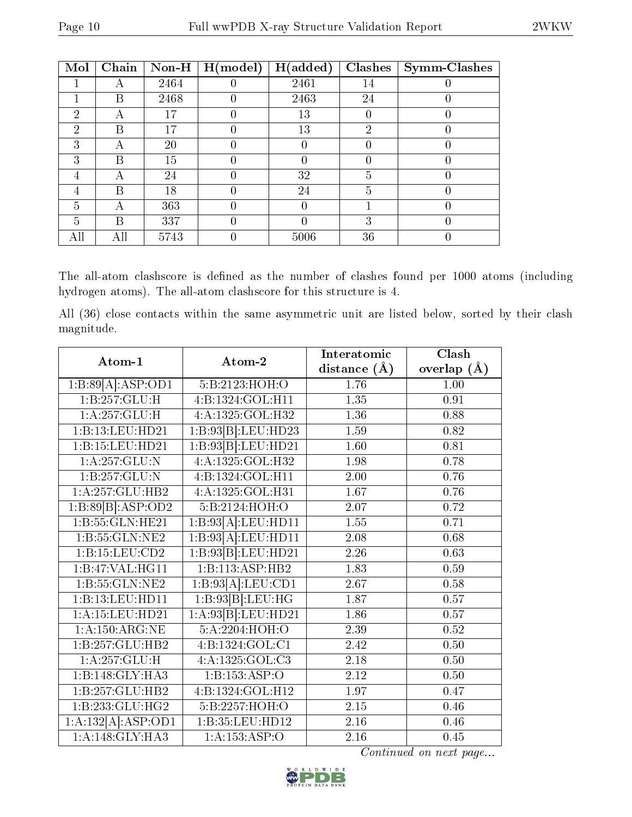| Mol | Chain | $\bf Non-H$ | H (model) | H(added) | <b>Clashes</b> | <b>Symm-Clashes</b> |
|-----|-------|-------------|-----------|----------|----------------|---------------------|
|     | А     | 2464        |           | 2461     | 14             |                     |
|     | В     | 2468        |           | 2463     | 24             |                     |
| 2   | А     |             |           | 13       | U              |                     |
| 2   | В     | 17          |           | 13       | 2              |                     |
| 3   | А     | 20          |           |          | O              |                     |
| 3   | B     | 15          |           |          |                |                     |
| 4   | А     | 24          |           | 32       | 5              |                     |
| 4   | B     | 18          |           | 24       | 5              |                     |
| 5   | А     | 363         |           |          |                |                     |
| 5   | B     | 337         |           |          | 3              |                     |
| AII | Аll   | 5743        |           | 5006     | 36             |                     |

The all-atom clashscore is defined as the number of clashes found per 1000 atoms (including hydrogen atoms). The all-atom clashscore for this structure is 4.

All (36) close contacts within the same asymmetric unit are listed below, sorted by their clash magnitude.

| Atom-1                         | Atom-2                        | Interatomic       | Clash         |
|--------------------------------|-------------------------------|-------------------|---------------|
|                                |                               | distance $(A)$    | overlap $(A)$ |
| $1:B:89[A]\overline{.ASP:OD1}$ | 5:B:2123:HOH:O                | 1.76              | 1.00          |
| 1:B:257:GLU:H                  | 4:B:1324:GOL:H11              | 1.35              | 0.91          |
| 1:A:257:GLU:H                  | 4:A:1325:GOL:H32              | $\overline{1.36}$ | 0.88          |
| 1:B:13:LEU:HD21                | 1:B:93[B]:LEU:HD23            | $\overline{1.59}$ | 0.82          |
| 1:B:15:LEU:HD21                | 1:B:93[B]:LEU:HD21            | 1.60              | 0.81          |
| 1:A:257:GLU:N                  | 4:A:1325:GOL:H32              | 1.98              | 0.78          |
| $1:B:\overline{257:GLU:N}$     | $4:B:132\overline{4:GOL:H11}$ | 2.00              | 0.76          |
| 1:A:257:GLU:HB2                | 4:A:1325:GOL:H31              | 1.67              | 0.76          |
| 1:B:89[B]:ASP:OD2              | 5:B:2124:HOH:O                | 2.07              | 0.72          |
| $1:B:\overline{55:GLN:HE21}$   | 1:B:93[A]:LEU:HDI1            | $\overline{1.55}$ | 0.71          |
| 1:B:55:GLN:NE2                 | $1:B:93[A]:$ LEU:HD11         | 2.08              | 0.68          |
| 1: B: 15: LEU: CD2             | 1:B:93[B]:LEU:HD21            | 2.26              | 0.63          |
| 1:B:47:VAL:HG11                | 1:B:113:ASP:HB2               | 1.83              | 0.59          |
| 1:B:55:GLN:NE2                 | 1:B:93[A]:LEU:CD1             | 2.67              | 0.58          |
| 1:B:13:LEU:HD11                | 1:B:93[B]:LEU:HG              | 1.87              | 0.57          |
| $1:$ A:15:LEU:HD21             | 1:A:93[B]:LEU:HD21            | 1.86              | 0.57          |
| 1:A:150:ARG:NE                 | 5:A:2204:HOH:O                | 2.39              | 0.52          |
| 1:B:257:GLU:HB2                | 4:B:1324:GOL:CI               | 2.42              | $0.50\,$      |
| 1:A:257:GLU:H                  | 4:A:1325:GOL:C3               | 2.18              | 0.50          |
| 1:B:148:GLY:HA3                | 1:B:153:ASP:O                 | 2.12              | 0.50          |
| 1:B:257:GLU:HB2                | 4:B:1324:GOL:H12              | 1.97              | 0.47          |
| 1:B:233:GLU:HG2                | 5: B: 2257: HOH:O             | $2.15\,$          | 0.46          |
| 1:A:132[A]:ASP:OD1             | 1:B:35:LEU:HD12               | 2.16              | 0.46          |
| 1: A:148: GLY: HA3             | 1:A:153:ASP:O                 | $\overline{2.16}$ | 0.45          |

Continued on next page...

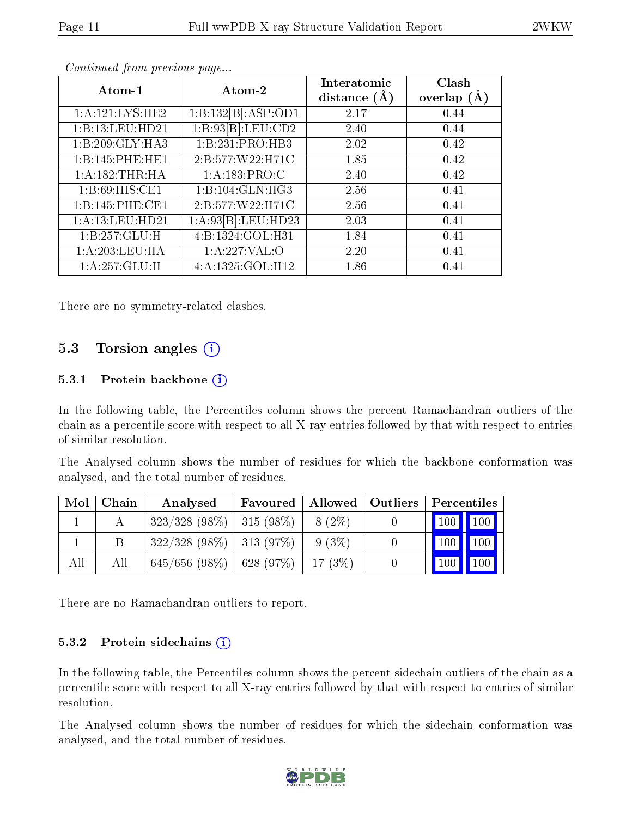| Continued from previous page |                      |                               |                          |  |  |  |  |  |  |  |
|------------------------------|----------------------|-------------------------------|--------------------------|--|--|--|--|--|--|--|
| Atom-1                       | Atom-2               | Interatomic<br>distance $(A)$ | Clash<br>overlap $(\AA)$ |  |  |  |  |  |  |  |
| 1:A:121:LYS:HE2              | 1:B:132[B]:ASP:OD1   | 2.17                          | 0.44                     |  |  |  |  |  |  |  |
| 1:B:13:LEU:HD21              | 1:B:93[B]:LEU:CD2    | 2.40                          | 0.44                     |  |  |  |  |  |  |  |
| 1:B:209:GLY:HA3              | 1:B:231:PRO:HB3      | 2.02                          | 0.42                     |  |  |  |  |  |  |  |
| 1:B:145:PHE:HE1              | 2: B: 577: W22: H71C | 1.85                          | 0.42                     |  |  |  |  |  |  |  |
| 1: A: 182: THR: HA           | 1: A: 183: PRO: C    | 2.40                          | 0.42                     |  |  |  |  |  |  |  |
| 1: B:69: HIS: CE1            | 1:B:104:GLN:HG3      | 2.56                          | 0.41                     |  |  |  |  |  |  |  |
| 1:B:145:PHE:CE1              | 2: B: 577: W22: H71C | 2.56                          | 0.41                     |  |  |  |  |  |  |  |
| 1: A:13:LEU:HD21             | 1:A:93[B].LEU:HD23   | 2.03                          | 0.41                     |  |  |  |  |  |  |  |
| 1:B:257:GLU:H                | 4:B:1324:GOL:H31     | 1.84                          | 0.41                     |  |  |  |  |  |  |  |
| 1:A:203:LEU:HA               | 1: A:227: VAL:O      | 2.20                          | 0.41                     |  |  |  |  |  |  |  |
| 1:A:257:GLU:H                | 4:A:1325:GOL:H12     | 1.86                          | 0.41                     |  |  |  |  |  |  |  |

There are no symmetry-related clashes.

### 5.3 Torsion angles (i)

#### 5.3.1 Protein backbone  $(i)$

In the following table, the Percentiles column shows the percent Ramachandran outliers of the chain as a percentile score with respect to all X-ray entries followed by that with respect to entries of similar resolution.

The Analysed column shows the number of residues for which the backbone conformation was analysed, and the total number of residues.

| Mol | Chain | Analysed                      | Favoured     |          | Allowed   Outliers | Percentiles         |                    |
|-----|-------|-------------------------------|--------------|----------|--------------------|---------------------|--------------------|
|     |       | $323/328$ (98\%)              | $ 315(98\%)$ | $8(2\%)$ |                    | $\vert$ 100 $\vert$ | $\parallel$ 100    |
|     |       | $322/328$ (98\%)   313 (97\%) |              | $9(3\%)$ |                    | $\vert$ 100 $\vert$ | $\blacksquare$ 100 |
| All | All   | $645/656$ (98\%)   628 (97\%) |              | 17(3%)   |                    | 100                 | $\vert$ 100        |

There are no Ramachandran outliers to report.

#### 5.3.2 Protein sidechains (i)

In the following table, the Percentiles column shows the percent sidechain outliers of the chain as a percentile score with respect to all X-ray entries followed by that with respect to entries of similar resolution.

The Analysed column shows the number of residues for which the sidechain conformation was analysed, and the total number of residues.

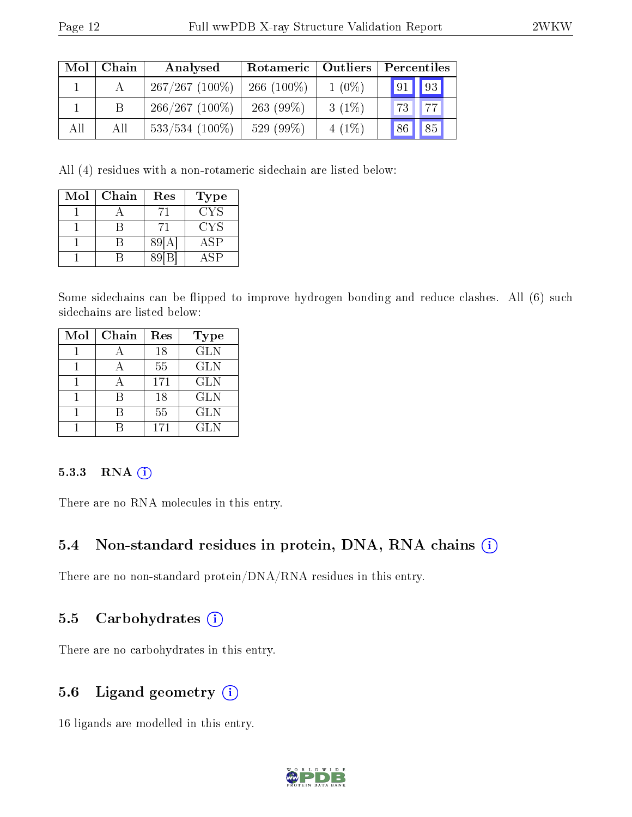| Mol | Chain | Analysed          | Rotameric   Outliers |          | Percentiles                   |
|-----|-------|-------------------|----------------------|----------|-------------------------------|
|     |       | $267/267$ (100%)  | $266(100\%)$         | $1(0\%)$ | 93 <br>$\vert 91 \vert \vert$ |
|     | B     | $266/267$ (100\%) | $263(99\%)$          | $3(1\%)$ | 73 77                         |
| All | All   | $533/534$ (100\%) | 529 (99%)            | $4(1\%)$ | 85<br>86                      |

All (4) residues with a non-rotameric sidechain are listed below:

| Mol | Chain | Res | Type       |
|-----|-------|-----|------------|
|     |       |     | CYS        |
|     |       | 71  | <b>CYS</b> |
|     |       | 89  | <b>ASP</b> |
|     |       |     | A S P      |

Some sidechains can be flipped to improve hydrogen bonding and reduce clashes. All (6) such sidechains are listed below:

| Mol | Chain | Res | Type       |
|-----|-------|-----|------------|
|     |       | 18  | <b>GLN</b> |
|     |       | 55  | <b>GLN</b> |
|     |       | 171 | <b>GLN</b> |
|     | R     | 18  | <b>GLN</b> |
|     | R     | 55  | <b>GLN</b> |
|     |       | 171 | <b>GLN</b> |

#### 5.3.3 RNA (1)

There are no RNA molecules in this entry.

### 5.4 Non-standard residues in protein, DNA, RNA chains (i)

There are no non-standard protein/DNA/RNA residues in this entry.

### 5.5 Carbohydrates (i)

There are no carbohydrates in this entry.

### 5.6 Ligand geometry (i)

16 ligands are modelled in this entry.

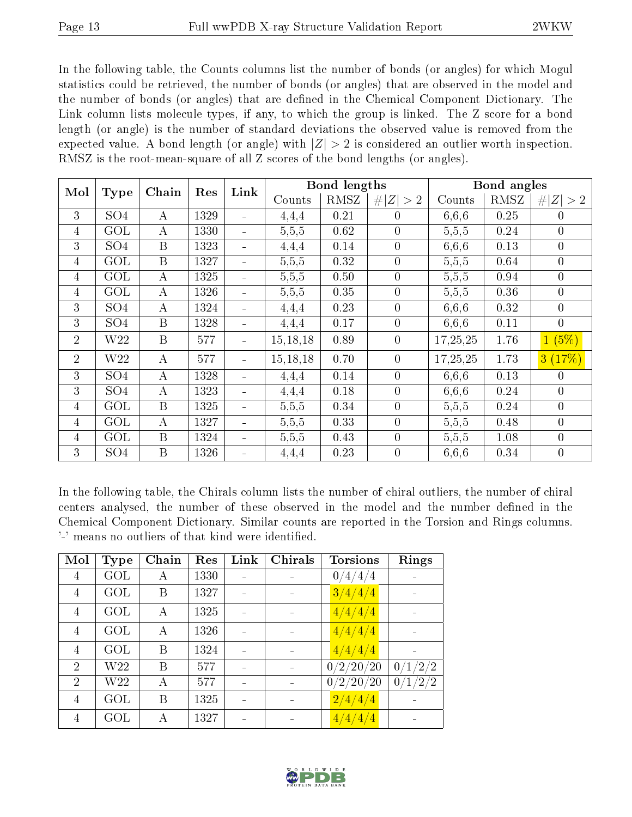In the following table, the Counts columns list the number of bonds (or angles) for which Mogul statistics could be retrieved, the number of bonds (or angles) that are observed in the model and the number of bonds (or angles) that are dened in the Chemical Component Dictionary. The Link column lists molecule types, if any, to which the group is linked. The Z score for a bond length (or angle) is the number of standard deviations the observed value is removed from the expected value. A bond length (or angle) with  $|Z| > 2$  is considered an outlier worth inspection. RMSZ is the root-mean-square of all Z scores of the bond lengths (or angles).

| Mol            | <b>Type</b>             | Chain            | Res  | Link                     |            | <b>Bond lengths</b> |                  |          | Bond angles |                |
|----------------|-------------------------|------------------|------|--------------------------|------------|---------------------|------------------|----------|-------------|----------------|
|                |                         |                  |      |                          | Counts     | RMSZ                | # $ Z  > 2$      | Counts   | RMSZ        | # $ Z  > 2$    |
| 3              | SO <sub>4</sub>         | $\boldsymbol{A}$ | 1329 | $\sim$                   | 4,4,4      | 0.21                | $\theta$         | 6,6,6    | 0.25        | $\theta$       |
| $\overline{4}$ | $\overline{\text{GOL}}$ | $\boldsymbol{A}$ | 1330 | $\blacksquare$           | 5,5,5      | 0.62                | $\theta$         | 5,5,5    | 0.24        | $\overline{0}$ |
| 3              | SO <sub>4</sub>         | $\overline{B}$   | 1323 | $\overline{\phantom{a}}$ | 4,4,4      | 0.14                | $\overline{0}$   | 6,6,6    | 0.13        | $\overline{0}$ |
| $\overline{4}$ | <b>GOL</b>              | $\mathbf{B}$     | 1327 | $\blacksquare$           | 5,5,5      | 0.32                | $\overline{0}$   | 5,5,5    | 0.64        | $\overline{0}$ |
| $\overline{4}$ | $\overline{\text{GOL}}$ | $\boldsymbol{A}$ | 1325 | $\blacksquare$           | 5,5,5      | 0.50                | $\overline{0}$   | 5,5,5    | 0.94        | $\overline{0}$ |
| $\overline{4}$ | GOL                     | $\bf{A}$         | 1326 | $\overline{\phantom{a}}$ | 5,5,5      | 0.35                | $\overline{0}$   | 5,5,5    | 0.36        | $\overline{0}$ |
| 3              | SO <sub>4</sub>         | $\boldsymbol{A}$ | 1324 | $\blacksquare$           | 4,4,4      | 0.23                | $\overline{0}$   | 6,6,6    | 0.32        | $\overline{0}$ |
| 3              | SO <sub>4</sub>         | $\mathbf{B}$     | 1328 | $\blacksquare$           | 4,4,4      | 0.17                | $\overline{0}$   | 6,6,6    | 0.11        | $\overline{0}$ |
| $\overline{2}$ | W <sub>22</sub>         | B                | 577  |                          | 15, 18, 18 | 0.89                | $\overline{0}$   | 17,25,25 | 1.76        | 1(5%)          |
| $\overline{2}$ | W <sub>22</sub>         | $\bf{A}$         | 577  |                          | 15, 18, 18 | 0.70                | $\overline{0}$   | 17,25,25 | 1.73        | 3(17%)         |
| $\overline{3}$ | SO <sub>4</sub>         | $\bf{A}$         | 1328 |                          | 4,4,4      | 0.14                | $\overline{0}$   | 6,6,6    | 0.13        | $\overline{0}$ |
| 3              | SO <sub>4</sub>         | $\bf{A}$         | 1323 | $\blacksquare$           | 4,4,4      | 0.18                | $\theta$         | 6,6,6    | 0.24        | $\theta$       |
| $\overline{4}$ | $\overline{\text{GOL}}$ | $\overline{B}$   | 1325 | $\blacksquare$           | 5,5,5      | 0.34                | $\theta$         | 5,5,5    | 0.24        | $\theta$       |
| $\overline{4}$ | GOL                     | $\bf{A}$         | 1327 |                          | 5,5,5      | 0.33                | $\theta$         | 5,5,5    | 0.48        | $\overline{0}$ |
| $\overline{4}$ | GOL                     | $\mathbf{B}$     | 1324 |                          | 5,5,5      | 0.43                | $\overline{0}$   | 5,5,5    | 1.08        | $\overline{0}$ |
| 3              | $\overline{SO4}$        | B                | 1326 |                          | 4,4,4      | 0.23                | $\boldsymbol{0}$ | 6,6,6    | 0.34        | $\overline{0}$ |

In the following table, the Chirals column lists the number of chiral outliers, the number of chiral centers analysed, the number of these observed in the model and the number defined in the Chemical Component Dictionary. Similar counts are reported in the Torsion and Rings columns. '-' means no outliers of that kind were identified.

| Mol            | <b>Type</b>     | Chain | Res  | Link | Chirals | <b>Torsions</b>           | Rings        |
|----------------|-----------------|-------|------|------|---------|---------------------------|--------------|
| 4              | GOL             | А     | 1330 |      |         | $\frac{4}{4/4}$<br>0/     |              |
| 4              | GOL             | Β     | 1327 |      |         | 3/4/4/4                   |              |
| 4              | GOL             | А     | 1325 |      |         | 4/4/4/4                   |              |
| 4              | GOL             | А     | 1326 |      |         | 4/4/4/4                   |              |
| 4              | GOL             | B     | 1324 |      |         | 4/4/4/4                   |              |
| $\overline{2}$ | W <sub>22</sub> | В     | 577  |      |         | $^{\prime}2/20/20$<br>0/  | /2/2<br>0/1/ |
| $\overline{2}$ | W22             | А     | 577  |      | -       | $^{\prime}2/20/20$<br>0/  | 0/1/2/2      |
| 4              | GOL             | B     | 1325 |      |         | $\frac{2}{4}/\frac{4}{4}$ |              |
| $\overline{4}$ | GOL             | А     | 1327 |      |         | 4/4/4/4                   |              |

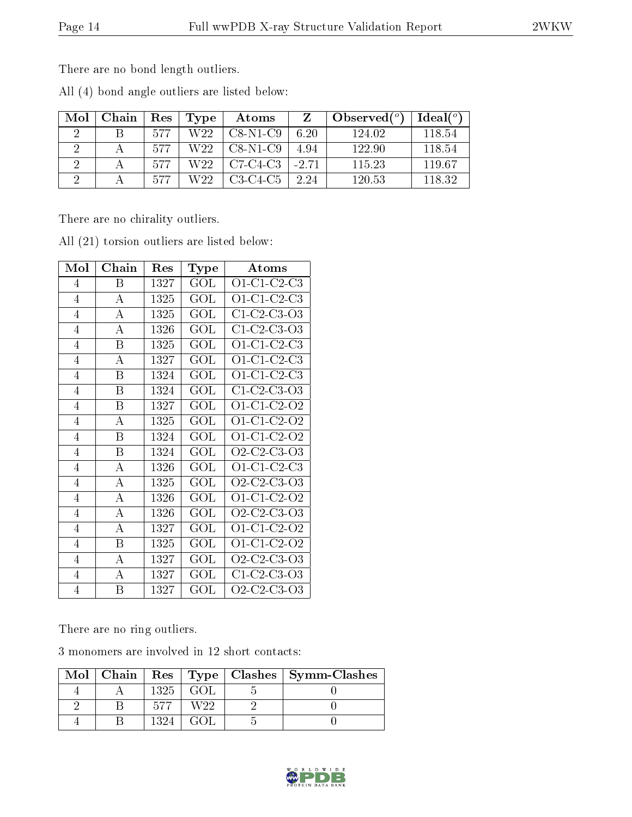There are no bond length outliers.

All (4) bond angle outliers are listed below:

| Mol                  | Chain | Res | Type | Atoms                        |         | $\sim$ Observed( $^o$ ) | Ideal(°) |
|----------------------|-------|-----|------|------------------------------|---------|-------------------------|----------|
| $\cdot$              |       | 577 | W22  | $C8-N1-C9$                   | 6.20    | 124.02                  | 118.54   |
| റ                    |       | 577 | W22. | $CS-N1-C9$                   | 4.94    | 122.90                  | 118.54   |
| $\ddot{\phantom{0}}$ |       | 577 | W22. | $\overline{\text{C7-C4-C3}}$ | $-2.71$ | 115 23                  | 119.67   |
| ച                    |       | 577 | W22. | $C3-C4-C5$                   | 2.24    | 120.53                  | 118.32   |

There are no chirality outliers.

| Mol            | ${\bf Chain}$    | Res  | Type         | Atoms                                                          |  |
|----------------|------------------|------|--------------|----------------------------------------------------------------|--|
| $\overline{4}$ | Β                | 1327 | GOL          | $O1-C1-C2-C3$                                                  |  |
| $\overline{4}$ | $\boldsymbol{A}$ | 1325 | GOL          | $O1-C1-C2-C3$                                                  |  |
| $\overline{4}$ | А                | 1325 | GOL          | $C1-C2-C3-O3$                                                  |  |
| 4              | А                | 1326 | $\rm GOL$    | C1-C2-C3-O3                                                    |  |
| 4              | Β                | 1325 | $\rm GOL$    | $O1-C1-C2-C3$                                                  |  |
| $\overline{4}$ | A                | 1327 | GOL          | $O1-C1-C2-C3$                                                  |  |
| 4              | B                | 1324 | $\rm GOL$    | $O1-C1-C2-C3$                                                  |  |
| $\overline{4}$ | B                | 1324 | $\rm GOL$    | $C1-C2-C3-O3$                                                  |  |
| $\overline{4}$ | B                | 1327 | GOL          | O1-C1-C2-O2                                                    |  |
| $\overline{4}$ | А                | 1325 | GOL          | $O1$ -C1-C2-O2                                                 |  |
| $\overline{4}$ | B                | 1324 | $\rm GOL$    | O1-C1-C2-O2                                                    |  |
| 4              | Β                | 1324 | $\rm GOL$    | O <sub>2</sub> -C <sub>2</sub> -C <sub>3</sub> -O <sub>3</sub> |  |
| $\overline{4}$ | А                | 1326 | $\rm GOL$    | $O1-C1-C2-C3$                                                  |  |
| $\overline{4}$ | $\boldsymbol{A}$ | 1325 | GOL          | $O2$ -C2-C3-O3                                                 |  |
| $\overline{4}$ | А                | 1326 | GOL          | O1-C1-C2-O2                                                    |  |
| $\overline{4}$ | A                | 1326 | $\rm GOL$    | O2-C2-C3-O3                                                    |  |
| $\overline{4}$ | $\boldsymbol{A}$ | 1327 | GOL          | O1-C1-C2-O2                                                    |  |
| $\overline{4}$ | Β                | 1325 | $_{\rm GOL}$ | O1-C1-C2-O2                                                    |  |
| $\overline{4}$ | А                | 1327 | $\rm GOL$    | $O2$ -C <sub>2</sub> -C <sub>3</sub> -O <sub>3</sub>           |  |
| $\overline{4}$ | $\boldsymbol{A}$ | 1327 | GOL          | $C1-C2-C3-O3$                                                  |  |
| $\overline{4}$ | B                | 1327 | $\rm GOL$    | $O2$ -C2-C3-O3                                                 |  |

All (21) torsion outliers are listed below:

There are no ring outliers.

3 monomers are involved in 12 short contacts:

|  |      |      | Mol   Chain   Res   Type   Clashes   Symm-Clashes |
|--|------|------|---------------------------------------------------|
|  | 1325 | -GOL |                                                   |
|  |      | WOO  |                                                   |
|  |      |      |                                                   |

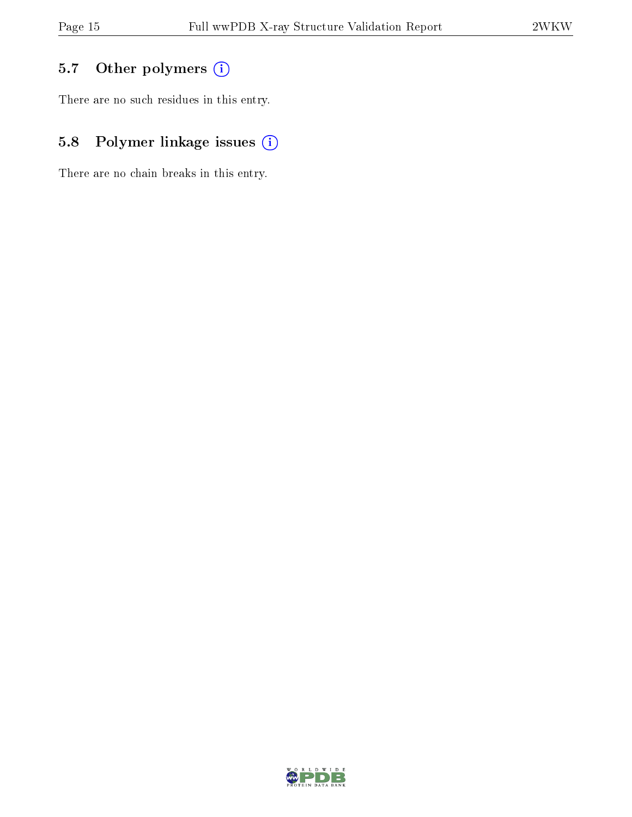## 5.7 [O](https://www.wwpdb.org/validation/2017/XrayValidationReportHelp#nonstandard_residues_and_ligands)ther polymers (i)

There are no such residues in this entry.

## 5.8 Polymer linkage issues (i)

There are no chain breaks in this entry.

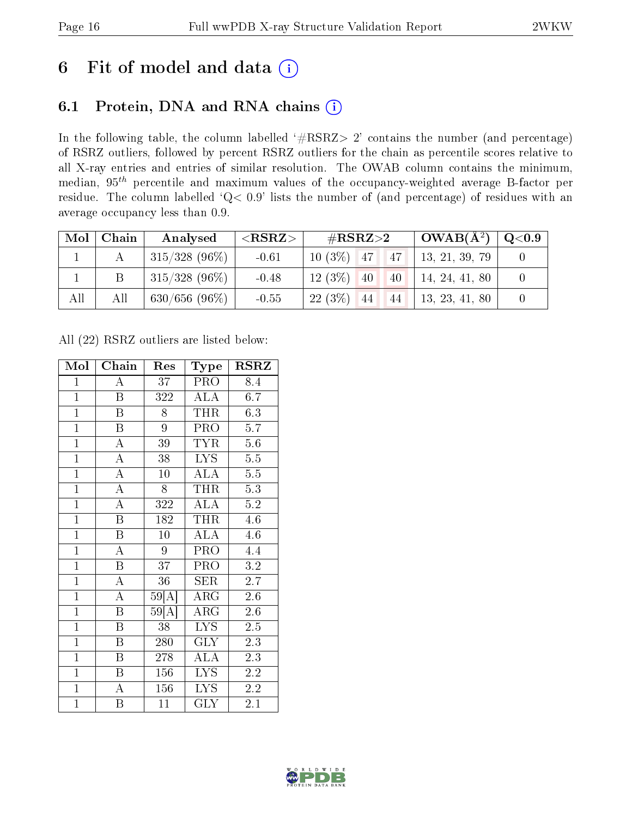## 6 Fit of model and data  $(i)$

### 6.1 Protein, DNA and RNA chains  $(i)$

In the following table, the column labelled  $#RSRZ> 2'$  contains the number (and percentage) of RSRZ outliers, followed by percent RSRZ outliers for the chain as percentile scores relative to all X-ray entries and entries of similar resolution. The OWAB column contains the minimum, median,  $95<sup>th</sup>$  percentile and maximum values of the occupancy-weighted average B-factor per residue. The column labelled ' $Q< 0.9$ ' lists the number of (and percentage) of residues with an average occupancy less than 0.9.

| Mol | Chain | Analysed                 | ${ <\hspace{-1.5pt}{\mathrm{RSRZ}} \hspace{-1.5pt}>}$ | $\rm \#RSRZ{>}2$      | $\overline{\text{OWAB(A}^2)}$ | $\mathrm{Q} {<} 0.9$ |
|-----|-------|--------------------------|-------------------------------------------------------|-----------------------|-------------------------------|----------------------|
|     |       | $\frac{1315}{328}$ (96%) | $-0.61$                                               | $10(3\%)$ 47<br>4147  | 13, 21, 39, 79                |                      |
|     | B     | $315/328$ (96\%)         | $-0.48$                                               | $12(3\%)$<br>40<br>40 | 14, 24, 41, 80                |                      |
| All | All   | $630/656(96\%)$          | $-0.55$                                               | $22(3\%)$<br>44<br>44 | 13, 23, 41, 80                |                      |

All (22) RSRZ outliers are listed below:

| Mol            | Chain                   | Res              | Type                                   | <b>RSRZ</b>      |
|----------------|-------------------------|------------------|----------------------------------------|------------------|
| $\mathbf{1}$   | $\overline{A}$          | 37 <sup>2</sup>  | PRO                                    | 8.4              |
| $\mathbf{1}$   | $\overline{\mathrm{B}}$ | 322              | <b>ALA</b>                             | 6.7              |
| $\overline{1}$ | $\overline{\mathrm{B}}$ | 8                | <b>THR</b>                             | 6.3              |
| $\overline{1}$ | B                       | 9                | PRO                                    | 5.7              |
| $\overline{1}$ | $\overline{\rm A}$      | $\overline{39}$  | <b>TYR</b>                             | 5.6              |
| $\mathbf{1}$   | $\overline{\rm A}$      | 38               | LYS.                                   | 5.5              |
| $\overline{1}$ | $\overline{\rm A}$      | $10\,$           | $\mathrm{AL}\bar{\mathrm{A}}$          | 5.5              |
| $\overline{1}$ | $\overline{A}$          | 8                | THR                                    | $\overline{5.3}$ |
| $\mathbf{1}$   | $\overline{\rm A}$      | 322              | <b>ALA</b>                             | 5.2              |
| $\overline{1}$ | $\overline{\mathrm{B}}$ | 182              | THR                                    | 4.6              |
| $\mathbf{1}$   | $\overline{\mathrm{B}}$ | 10               | <b>ALA</b>                             | 4.6              |
| $\overline{1}$ | $\overline{\rm A}$      | $\overline{9}$   | PRO                                    | 4.4              |
| $\overline{1}$ | $\overline{\mathrm{B}}$ | 37               | PRO                                    | 3.2              |
| $\overline{1}$ | $\overline{\rm A}$      | 36               | <b>SER</b>                             | 2.7              |
| $\overline{1}$ | $\overline{\rm A}$      | 59[A]            | $\overline{\rm{ARG}}$                  | 2.6              |
| $\overline{1}$ | $\overline{\mathrm{B}}$ | $59 \bar{\rm A}$ | ARG                                    | 2.6              |
| $\overline{1}$ | $\overline{\mathrm{B}}$ | $\overline{38}$  | LYS.                                   | 2.5              |
| $\mathbf{1}$   | $\boldsymbol{B}$        | 280              | <b>GLY</b>                             | 2.3              |
| $\overline{1}$ | B                       | 278              | $\overline{A}\overline{L}\overline{A}$ | 2.3              |
| $\overline{1}$ | $\overline{\mathrm{B}}$ | 156              | <b>LYS</b>                             | 2.2              |
| $\overline{1}$ | $\overline{\rm A}$      | 156              | <b>LYS</b>                             | 2.2              |
| $\mathbf{1}$   | Β                       | 11               | GLY                                    | 2.1              |